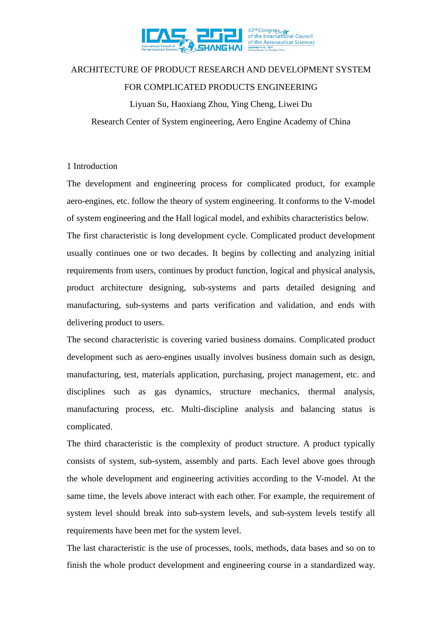

# ARCHITECTURE OF PRODUCT RESEARCH AND DEVELOPMENT SYSTEM FOR COMPLICATED PRODUCTS ENGINEERING

Liyuan Su, Haoxiang Zhou, Ying Cheng, Liwei Du Research Center of System engineering, Aero Engine Academy of China

### 1 Introduction

The development and engineering process for complicated product, for example aero-engines, etc. follow the theory of system engineering. It conforms to the V-model of system engineering and the Hall logical model, and exhibits characteristics below. The first characteristic is long development cycle. Complicated product development usually continues one or two decades. It begins by collecting and analyzing initial requirements from users, continues by product function, logical and physical analysis, product architecture designing, sub-systems and parts detailed designing and manufacturing, sub-systems and parts verification and validation, and ends with delivering product to users.

The second characteristic is covering varied business domains. Complicated product development such as aero-engines usually involves business domain such as design, manufacturing, test, materials application, purchasing, project management, etc. and disciplines such as gas dynamics, structure mechanics, thermal analysis, manufacturing process, etc. Multi-discipline analysis and balancing status is complicated.

The third characteristic is the complexity of product structure. A product typically consists of system, sub-system, assembly and parts. Each level above goes through the whole development and engineering activities according to the V-model. At the same time, the levels above interact with each other. For example, the requirement of system level should break into sub-system levels, and sub-system levels testify all requirements have been met for the system level.

The last characteristic is the use of processes, tools, methods, data bases and so on to finish the whole product development and engineering course in a standardized way.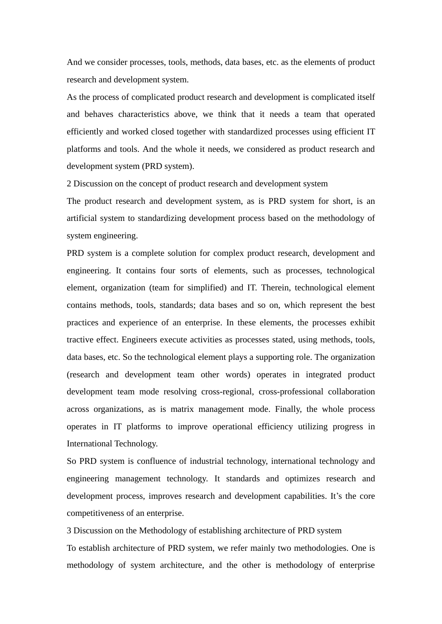And we consider processes, tools, methods, data bases, etc. as the elements of product research and development system.

As the process of complicated product research and development is complicated itself and behaves characteristics above, we think that it needs a team that operated efficiently and worked closed together with standardized processes using efficient IT platforms and tools. And the whole it needs, we considered as product research and development system (PRD system).

2 Discussion on the concept of product research and development system

The product research and development system, as is PRD system for short, is an artificial system to standardizing development process based on the methodology of system engineering.

PRD system is a complete solution for complex product research, development and engineering. It contains four sorts of elements, such as processes, technological element, organization (team for simplified) and IT. Therein, technological element contains methods, tools, standards; data bases and so on, which represent the best practices and experience of an enterprise. In these elements, the processes exhibit tractive effect. Engineers execute activities as processes stated, using methods, tools, data bases, etc. So the technological element plays a supporting role. The organization (research and development team other words) operates in integrated product development team mode resolving cross-regional, cross-professional collaboration across organizations, as is matrix management mode. Finally, the whole process operates in IT platforms to improve operational efficiency utilizing progress in International Technology.

So PRD system is confluence of industrial technology, international technology and engineering management technology. It standards and optimizes research and development process, improves research and development capabilities. It's the core competitiveness of an enterprise.

3 Discussion on the Methodology of establishing architecture of PRD system To establish architecture of PRD system, we refer mainly two methodologies. One is methodology of system architecture, and the other is methodology of enterprise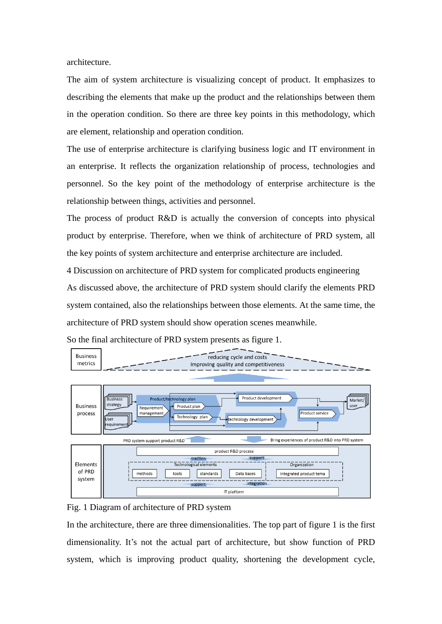architecture.

The aim of system architecture is visualizing concept of product. It emphasizes to describing the elements that make up the product and the relationships between them in the operation condition. So there are three key points in this methodology, which are element, relationship and operation condition.

The use of enterprise architecture is clarifying business logic and IT environment in an enterprise. It reflects the organization relationship of process, technologies and personnel. So the key point of the methodology of enterprise architecture is the relationship between things, activities and personnel.

The process of product R&D is actually the conversion of concepts into physical product by enterprise. Therefore, when we think of architecture of PRD system, all the key points of system architecture and enterprise architecture are included.

4 Discussion on architecture of PRD system for complicated products engineering As discussed above, the architecture of PRD system should clarify the elements PRD system contained, also the relationships between those elements. At the same time, the architecture of PRD system should show operation scenes meanwhile.





Fig. 1 Diagram of architecture of PRD system

In the architecture, there are three dimensionalities. The top part of figure 1 is the first dimensionality. It's not the actual part of architecture, but show function of PRD system, which is improving product quality, shortening the development cycle,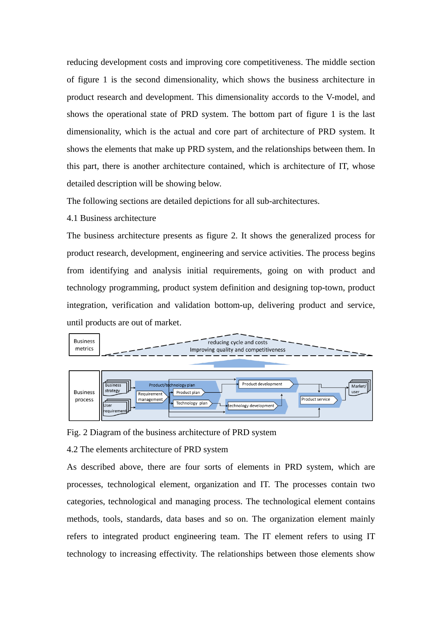reducing development costs and improving core competitiveness. The middle section of figure 1 is the second dimensionality, which shows the business architecture in product research and development. This dimensionality accords to the V-model, and shows the operational state of PRD system. The bottom part of figure 1 is the last dimensionality, which is the actual and core part of architecture of PRD system. It shows the elements that make up PRD system, and the relationships between them. In this part, there is another architecture contained, which is architecture of IT, whose detailed description will be showing below.

The following sections are detailed depictions for all sub-architectures.

4.1 Business architecture

The business architecture presents as figure 2. It shows the generalized process for product research, development, engineering and service activities. The process begins from identifying and analysis initial requirements, going on with product and technology programming, product system definition and designing top-town, product integration, verification and validation bottom-up, delivering product and service, until products are out of market.



Fig. 2 Diagram of the business architecture of PRD system

#### 4.2 The elements architecture of PRD system

As described above, there are four sorts of elements in PRD system, which are processes, technological element, organization and IT. The processes contain two categories, technological and managing process. The technological element contains methods, tools, standards, data bases and so on. The organization element mainly refers to integrated product engineering team. The IT element refers to using IT technology to increasing effectivity. The relationships between those elements show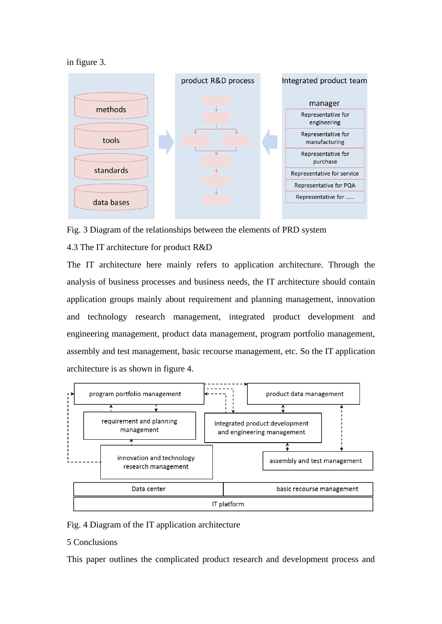in figure 3.



Fig. 3 Diagram of the relationships between the elements of PRD system

# 4.3 The IT architecture for product R&D

The IT architecture here mainly refers to application architecture. Through the analysis of business processes and business needs, the IT architecture should contain application groups mainly about requirement and planning management, innovation and technology research management, integrated product development and engineering management, product data management, program portfolio management, assembly and test management, basic recourse management, etc. So the IT application architecture is as shown in figure 4.



## Fig. 4 Diagram of the IT application architecture

### 5 Conclusions

This paper outlines the complicated product research and development process and